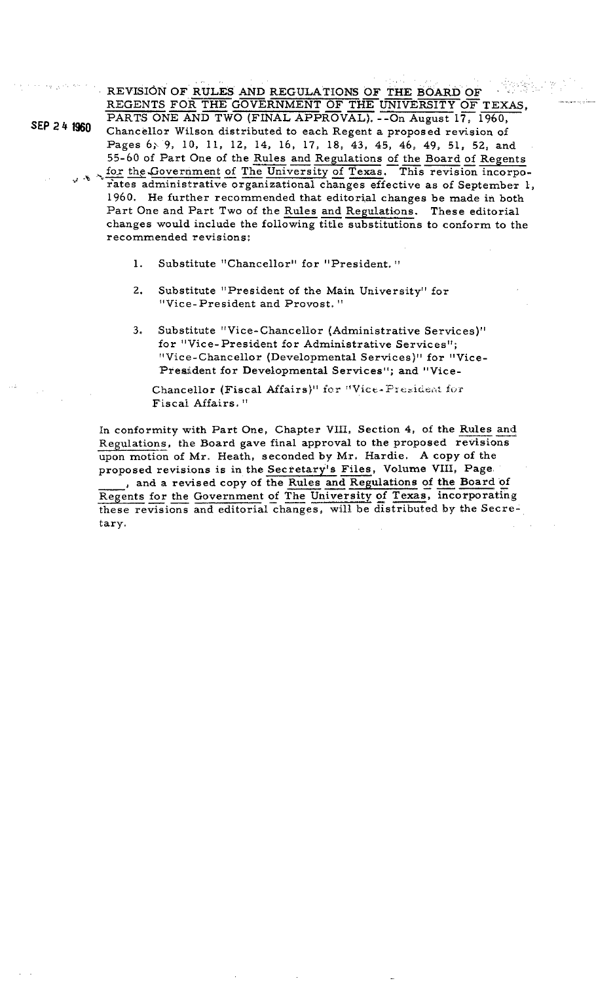. . .. , , . . . ,, ,~. : ,.,. , . REVISION' OF RULES AND REGULATIONS OF THE BOARD OF - .. REGENTS FOR THE GOVERNMENT OF THE UNIVERSITY OF TEXAS. OF RULES AND REGULATIONS OF<br>FOR THE GOVERNMENT OF THE LEAND TWO (FINAL APPROVAL). -

PARTS ONE AND TWO (FINAL APPROVAL). --On August 17, 1960, Chancellor Wilson distributed to each Regent a proposed revision of Pages 6; 9, 10, 11, 12, 14, 16, 17, 18, 43, 45, 46, 49, 51, 52, and 55-60 of Part One of the Rules and Regulations of the Board of Regents Fages 6, 9, 10, 11, 12, 14, 16, 17, 18, 43, 45, 46, 49, 51, 52, and<br>55-60 of Part One of the Rules and Regulations of the Board of Regents<br>for the Government of The University of Texas. This revision incorpo-<br>rates adminis

- rates administrative organizational changes effective as of September 1, 1960. He further recommended that editorial changes be made in both 55-60 of Part One of the <u>Kules and Regulations of the Board of Regents</u><br>for the Government of The University of Texas. This revision incorporates administrative organizational changes effective as of September<br>1960. He fu changes would include the following title substitutions to conform to the recommended revisions:
	- 1. Substitute "Chancellor" for "President. "
	- 2. Substitute "President of the Main University" for "Vice- President and Provost. "
	- **3.** Substitute "Vice-Chancellor (Administrative Services)" for "Vice-President for Administrative Services"; "Vice-Chancellor (Developmental Services)" for "Vice-President for Developmental Services"; and "Vice-

Chancellor (Fiscal Affairs)" for "Vice-President for Fiscal Affairs."

In conformity with Part One, Chapter VIII, Section 4, of the Rules and Regulations, the Board gave final approval to the proposed revisions upon motion of Mr. Heath, seconded by Mr. Hardie. **A** copy of the proposed revisions is in the Secretary's Files, Volume **VIII,** Page In conformity with Part One, Chapter VIII, Section 4, of the Rules and Regulations, the Board gave final approval to the proposed revisions upon motion of Mr. Heath, seconded by Mr. Hardie. A copy of the proposed revisions

these revisions and editorial changes, will be distributed by the Secretary.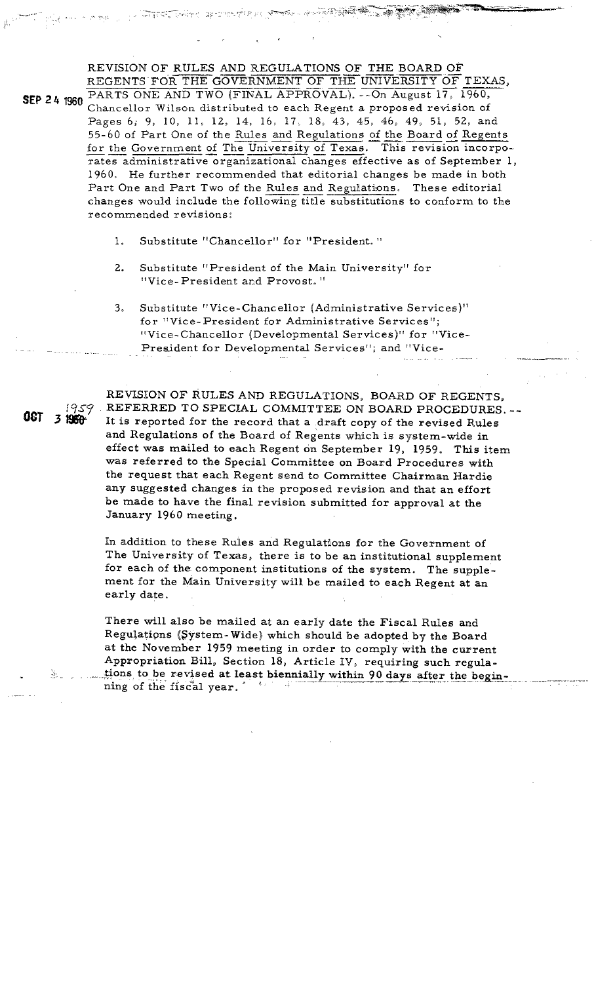REVISION OF RULES AND REGULATIONS OF THE BOARD OF TEXAS, REGENTS FOR THE GOVERNMENT OF THE UNIVERSITY OF TEXAS, REVISION OF RULES AND REGULATIONS OF THE BOARD OF REGENTS FOR THE GOVERNMENT OF THE UNIVERSITY OF TEXAS, THE CORNE AND TWO (FINAL APPROVAL). --On August 17, 1960, Chancellor Wilson distributed to each Regent a proposed revision of Pages 6; 9, 10, 11, 12, 14, 16, 17, 18, **43,** 45, 46, 49, 51, 52, and REGENTS FOR THE GOVERNMENT OF THE UNIVERSITY OF TEXAS,<br>PARTS ONE AND TWO (FINAL APPROVAL). -- On August 17, 1960,<br>Chancellor Wilson distributed to each Regent a proposed revision of<br>Pages 6, 9, 10, 11, 12, 14, 16, 17, 18, Chancellor Wilson distributed to each Regent a proposed revision of Pages 6, 9, 10, 11, 12, 14, 16, 17, 18, 43, 45, 46, 49, 51, 52, and 55-60 of Part One of the Rules and Regulations of the Board of Regents for the Governm For the Government of The University of Texas. This revision incorporates administrative organizational changes effective as of September 1960. He further recommended that editorial changes be made in both Part One and Par changes would include the following title substitutions to conform to the recommended revisions:

- 1. Substitute "Chancellor" for "President. "
- 2. Substitute "President of the Main University" for "Vice-President and Provost."
- **3.** Substitute "Vice-Chancellor (Administrative Services)" for "Vice-President for Administrative Services"; "Vice-Chancellor (Developmental Services)" for "Vice-President for Developmental Services"; and "Vice-

REVISION OF RULES AND REGULATIONS, BOARD OF REGENTS, REFERRED TO SPECIAL COMMITTEE ON BOARD PROCEDURES. -- It is reported for the record that a draft copy of the revised Rules and Regulations of the Board of Regents which is system-wide in effect was mailed to each Regent on September 19, 1959, This item was referred to the Special Committee on Board Procedures with the request that each Regent send to Committee Chairman Hardie any suggested changes in the proposed revision and that an effort be made to have the final revision submitted for approval at the January 1960 meeting.

In addition to these Rules and Regulations for the Government of The University of Texas, there is to be an institutional supplement for each of the component institutions of the system. The supplement for the Main University will be mailed to each Regent at an early date.

There will also be mailed at an early date the Fiscal Rules and Regulations (System-Wide) which should be adopted by the Board at the November 1959 meeting in order to comply with the current Appropriation Bill, Section 18, Article IV, requiring such regula-<br>tions to be revised at least biennially within 90 days after the beginning of the fiscal year. **The set of the fiscal year**.

~~~ -

1959

3 1960

**OCT**